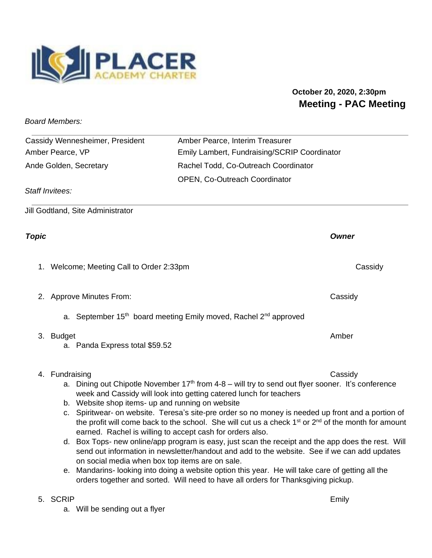

## **October 20, 2020, 2:30pm Meeting - PAC Meeting**

*Board Members:* 

| Cassidy Wennesheimer, President | Amber Pearce, Interim Treasurer              |
|---------------------------------|----------------------------------------------|
| Amber Pearce, VP                | Emily Lambert, Fundraising/SCRIP Coordinator |
| Ande Golden, Secretary          | Rachel Todd, Co-Outreach Coordinator         |
|                                 | <b>OPEN, Co-Outreach Coordinator</b>         |
| Staff Invitees:                 |                                              |

Jill Godtland, Site Administrator

## *Topic Owner*

1. Welcome; Meeting Call to Order 2:33pm Cassidy Cassidy

- 2. Approve Minutes From: Cassidy
	- a. September 15<sup>th</sup> board meeting Emily moved, Rachel 2<sup>nd</sup> approved
- 3. Budget Amber Amber Amber Amber Amber Amber Amber Amber Amber Amber Amber Amber Amber Amber Amber Amber Amber
	- a. Panda Express total \$59.52
- 4. Fundraising Cassidy

- a. Dining out Chipotle November 17<sup>th</sup> from 4-8 will try to send out flyer sooner. It's conference week and Cassidy will look into getting catered lunch for teachers
- b. Website shop items- up and running on website
- c. Spiritwear- on website. Teresa's site-pre order so no money is needed up front and a portion of the profit will come back to the school. She will cut us a check  $1<sup>st</sup>$  or  $2<sup>nd</sup>$  of the month for amount earned. Rachel is willing to accept cash for orders also.
- d. Box Tops- new online/app program is easy, just scan the receipt and the app does the rest. Will send out information in newsletter/handout and add to the website. See if we can add updates on social media when box top items are on sale.
- e. Mandarins- looking into doing a website option this year. He will take care of getting all the orders together and sorted. Will need to have all orders for Thanksgiving pickup.

## 5. SCRIP Emily

a. Will be sending out a flyer